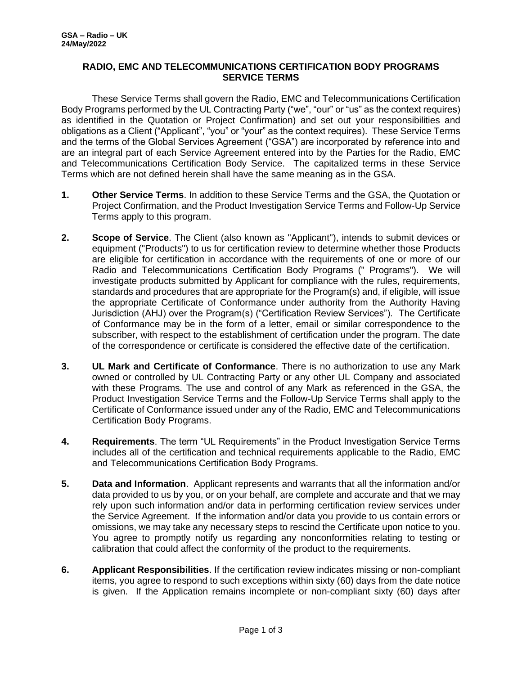## **RADIO, EMC AND TELECOMMUNICATIONS CERTIFICATION BODY PROGRAMS SERVICE TERMS**

These Service Terms shall govern the Radio, EMC and Telecommunications Certification Body Programs performed by the UL Contracting Party ("we", "our" or "us" as the context requires) as identified in the Quotation or Project Confirmation) and set out your responsibilities and obligations as a Client ("Applicant", "you" or "your" as the context requires). These Service Terms and the terms of the Global Services Agreement ("GSA") are incorporated by reference into and are an integral part of each Service Agreement entered into by the Parties for the Radio, EMC and Telecommunications Certification Body Service. The capitalized terms in these Service Terms which are not defined herein shall have the same meaning as in the GSA.

- **1. Other Service Terms**. In addition to these Service Terms and the GSA, the Quotation or Project Confirmation, and the Product Investigation Service Terms and Follow-Up Service Terms apply to this program.
- **2. Scope of Service**. The Client (also known as "Applicant"), intends to submit devices or equipment ("Products") to us for certification review to determine whether those Products are eligible for certification in accordance with the requirements of one or more of our Radio and Telecommunications Certification Body Programs (" Programs"). We will investigate products submitted by Applicant for compliance with the rules, requirements, standards and procedures that are appropriate for the Program(s) and, if eligible, will issue the appropriate Certificate of Conformance under authority from the Authority Having Jurisdiction (AHJ) over the Program(s) ("Certification Review Services"). The Certificate of Conformance may be in the form of a letter, email or similar correspondence to the subscriber, with respect to the establishment of certification under the program. The date of the correspondence or certificate is considered the effective date of the certification.
- **3. UL Mark and Certificate of Conformance**. There is no authorization to use any Mark owned or controlled by UL Contracting Party or any other UL Company and associated with these Programs. The use and control of any Mark as referenced in the GSA, the Product Investigation Service Terms and the Follow-Up Service Terms shall apply to the Certificate of Conformance issued under any of the Radio, EMC and Telecommunications Certification Body Programs.
- **4. Requirements**. The term "UL Requirements" in the Product Investigation Service Terms includes all of the certification and technical requirements applicable to the Radio, EMC and Telecommunications Certification Body Programs.
- **5. Data and Information**. Applicant represents and warrants that all the information and/or data provided to us by you, or on your behalf, are complete and accurate and that we may rely upon such information and/or data in performing certification review services under the Service Agreement. If the information and/or data you provide to us contain errors or omissions, we may take any necessary steps to rescind the Certificate upon notice to you. You agree to promptly notify us regarding any nonconformities relating to testing or calibration that could affect the conformity of the product to the requirements.
- **6. Applicant Responsibilities**. If the certification review indicates missing or non-compliant items, you agree to respond to such exceptions within sixty (60) days from the date notice is given. If the Application remains incomplete or non-compliant sixty (60) days after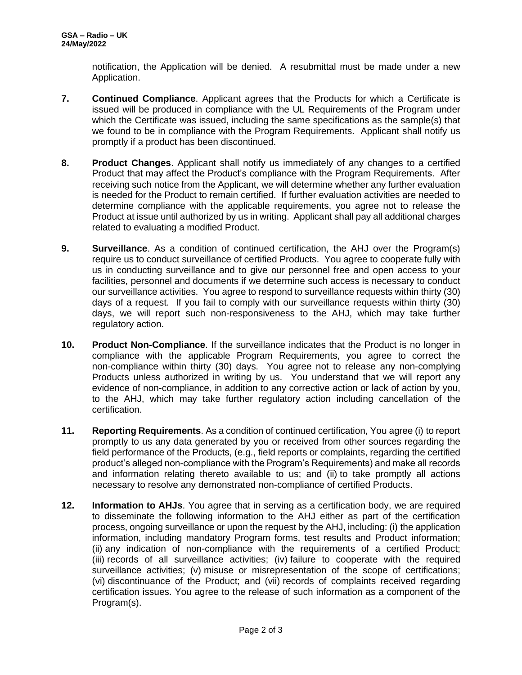notification, the Application will be denied. A resubmittal must be made under a new Application.

- **7. Continued Compliance**. Applicant agrees that the Products for which a Certificate is issued will be produced in compliance with the UL Requirements of the Program under which the Certificate was issued, including the same specifications as the sample(s) that we found to be in compliance with the Program Requirements. Applicant shall notify us promptly if a product has been discontinued.
- **8. Product Changes**. Applicant shall notify us immediately of any changes to a certified Product that may affect the Product's compliance with the Program Requirements. After receiving such notice from the Applicant, we will determine whether any further evaluation is needed for the Product to remain certified. If further evaluation activities are needed to determine compliance with the applicable requirements, you agree not to release the Product at issue until authorized by us in writing. Applicant shall pay all additional charges related to evaluating a modified Product.
- **9. Surveillance**. As a condition of continued certification, the AHJ over the Program(s) require us to conduct surveillance of certified Products. You agree to cooperate fully with us in conducting surveillance and to give our personnel free and open access to your facilities, personnel and documents if we determine such access is necessary to conduct our surveillance activities. You agree to respond to surveillance requests within thirty (30) days of a request. If you fail to comply with our surveillance requests within thirty (30) days, we will report such non-responsiveness to the AHJ, which may take further regulatory action.
- **10. Product Non-Compliance**. If the surveillance indicates that the Product is no longer in compliance with the applicable Program Requirements, you agree to correct the non-compliance within thirty (30) days. You agree not to release any non-complying Products unless authorized in writing by us. You understand that we will report any evidence of non-compliance, in addition to any corrective action or lack of action by you, to the AHJ, which may take further regulatory action including cancellation of the certification.
- **11. Reporting Requirements**. As a condition of continued certification, You agree (i) to report promptly to us any data generated by you or received from other sources regarding the field performance of the Products, (e.g., field reports or complaints, regarding the certified product's alleged non-compliance with the Program's Requirements) and make all records and information relating thereto available to us; and (ii) to take promptly all actions necessary to resolve any demonstrated non-compliance of certified Products.
- **12. Information to AHJs**. You agree that in serving as a certification body, we are required to disseminate the following information to the AHJ either as part of the certification process, ongoing surveillance or upon the request by the AHJ, including: (i) the application information, including mandatory Program forms, test results and Product information; (ii) any indication of non-compliance with the requirements of a certified Product; (iii) records of all surveillance activities; (iv) failure to cooperate with the required surveillance activities; (v) misuse or misrepresentation of the scope of certifications; (vi) discontinuance of the Product; and (vii) records of complaints received regarding certification issues. You agree to the release of such information as a component of the Program(s).